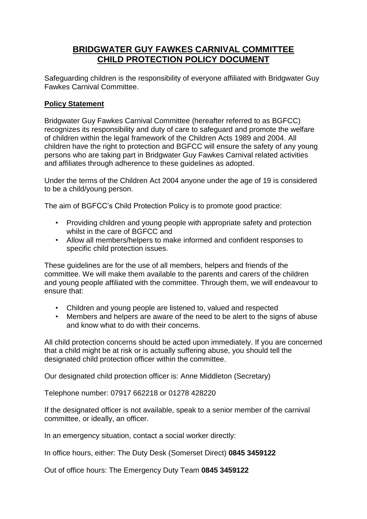# **BRIDGWATER GUY FAWKES CARNIVAL COMMITTEE CHILD PROTECTION POLICY DOCUMENT**

Safeguarding children is the responsibility of everyone affiliated with Bridgwater Guy Fawkes Carnival Committee.

#### **Policy Statement**

Bridgwater Guy Fawkes Carnival Committee (hereafter referred to as BGFCC) recognizes its responsibility and duty of care to safeguard and promote the welfare of children within the legal framework of the Children Acts 1989 and 2004. All children have the right to protection and BGFCC will ensure the safety of any young persons who are taking part in Bridgwater Guy Fawkes Carnival related activities and affiliates through adherence to these guidelines as adopted.

Under the terms of the Children Act 2004 anyone under the age of 19 is considered to be a child/young person.

The aim of BGFCC's Child Protection Policy is to promote good practice:

- Providing children and young people with appropriate safety and protection whilst in the care of BGFCC and
- Allow all members/helpers to make informed and confident responses to specific child protection issues.

These guidelines are for the use of all members, helpers and friends of the committee. We will make them available to the parents and carers of the children and young people affiliated with the committee. Through them, we will endeavour to ensure that:

- Children and young people are listened to, valued and respected
- Members and helpers are aware of the need to be alert to the signs of abuse and know what to do with their concerns.

All child protection concerns should be acted upon immediately. If you are concerned that a child might be at risk or is actually suffering abuse, you should tell the designated child protection officer within the committee.

Our designated child protection officer is: Anne Middleton (Secretary)

Telephone number: 07917 662218 or 01278 428220

If the designated officer is not available, speak to a senior member of the carnival committee, or ideally, an officer.

In an emergency situation, contact a social worker directly:

In office hours, either: The Duty Desk (Somerset Direct) **0845 3459122**

Out of office hours: The Emergency Duty Team **0845 3459122**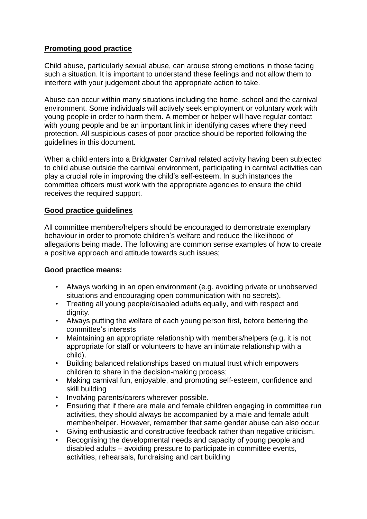### **Promoting good practice**

Child abuse, particularly sexual abuse, can arouse strong emotions in those facing such a situation. It is important to understand these feelings and not allow them to interfere with your judgement about the appropriate action to take.

Abuse can occur within many situations including the home, school and the carnival environment. Some individuals will actively seek employment or voluntary work with young people in order to harm them. A member or helper will have regular contact with young people and be an important link in identifying cases where they need protection. All suspicious cases of poor practice should be reported following the guidelines in this document.

When a child enters into a Bridgwater Carnival related activity having been subjected to child abuse outside the carnival environment, participating in carnival activities can play a crucial role in improving the child's self-esteem. In such instances the committee officers must work with the appropriate agencies to ensure the child receives the required support.

#### **Good practice guidelines**

All committee members/helpers should be encouraged to demonstrate exemplary behaviour in order to promote children's welfare and reduce the likelihood of allegations being made. The following are common sense examples of how to create a positive approach and attitude towards such issues;

### **Good practice means:**

- Always working in an open environment (e.g. avoiding private or unobserved situations and encouraging open communication with no secrets).
- Treating all young people/disabled adults equally, and with respect and dianity.
- Always putting the welfare of each young person first, before bettering the committee's interests
- Maintaining an appropriate relationship with members/helpers (e.g. it is not appropriate for staff or volunteers to have an intimate relationship with a child).
- Building balanced relationships based on mutual trust which empowers children to share in the decision-making process;
- Making carnival fun, enjoyable, and promoting self-esteem, confidence and skill building
- Involving parents/carers wherever possible.
- Ensuring that if there are male and female children engaging in committee run activities, they should always be accompanied by a male and female adult member/helper. However, remember that same gender abuse can also occur.
- Giving enthusiastic and constructive feedback rather than negative criticism.
- Recognising the developmental needs and capacity of young people and disabled adults – avoiding pressure to participate in committee events, activities, rehearsals, fundraising and cart building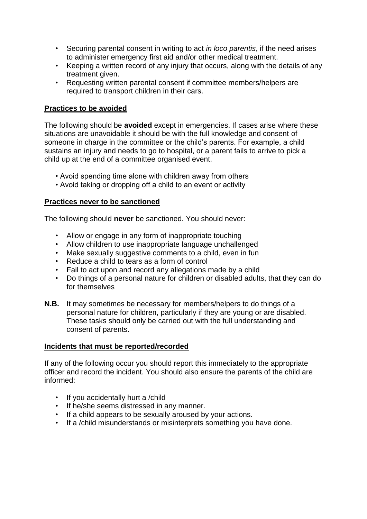- Securing parental consent in writing to act *in loco parentis*, if the need arises to administer emergency first aid and/or other medical treatment.
- Keeping a written record of any injury that occurs, along with the details of any treatment given.
- Requesting written parental consent if committee members/helpers are required to transport children in their cars.

#### **Practices to be avoided**

The following should be **avoided** except in emergencies. If cases arise where these situations are unavoidable it should be with the full knowledge and consent of someone in charge in the committee or the child's parents. For example, a child sustains an injury and needs to go to hospital, or a parent fails to arrive to pick a child up at the end of a committee organised event.

- Avoid spending time alone with children away from others
- Avoid taking or dropping off a child to an event or activity

#### **Practices never to be sanctioned**

The following should **never** be sanctioned. You should never:

- Allow or engage in any form of inappropriate touching
- Allow children to use inappropriate language unchallenged
- Make sexually suggestive comments to a child, even in fun
- Reduce a child to tears as a form of control
- Fail to act upon and record any allegations made by a child
- Do things of a personal nature for children or disabled adults, that they can do for themselves
- **N.B.** It may sometimes be necessary for members/helpers to do things of a personal nature for children, particularly if they are young or are disabled. These tasks should only be carried out with the full understanding and consent of parents.

#### **Incidents that must be reported/recorded**

If any of the following occur you should report this immediately to the appropriate officer and record the incident. You should also ensure the parents of the child are informed:

- If you accidentally hurt a /child
- If he/she seems distressed in any manner.
- If a child appears to be sexually aroused by your actions.
- If a /child misunderstands or misinterprets something you have done.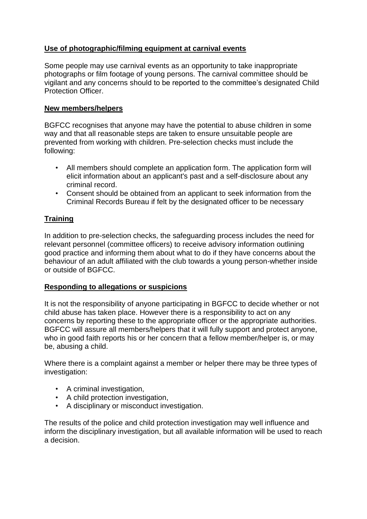### **Use of photographic/filming equipment at carnival events**

Some people may use carnival events as an opportunity to take inappropriate photographs or film footage of young persons. The carnival committee should be vigilant and any concerns should to be reported to the committee's designated Child Protection Officer.

#### **New members/helpers**

BGFCC recognises that anyone may have the potential to abuse children in some way and that all reasonable steps are taken to ensure unsuitable people are prevented from working with children. Pre-selection checks must include the following:

- All members should complete an application form. The application form will elicit information about an applicant's past and a self-disclosure about any criminal record.
- Consent should be obtained from an applicant to seek information from the Criminal Records Bureau if felt by the designated officer to be necessary

## **Training**

In addition to pre-selection checks, the safeguarding process includes the need for relevant personnel (committee officers) to receive advisory information outlining good practice and informing them about what to do if they have concerns about the behaviour of an adult affiliated with the club towards a young person-whether inside or outside of BGFCC.

### **Responding to allegations or suspicions**

It is not the responsibility of anyone participating in BGFCC to decide whether or not child abuse has taken place. However there is a responsibility to act on any concerns by reporting these to the appropriate officer or the appropriate authorities. BGFCC will assure all members/helpers that it will fully support and protect anyone, who in good faith reports his or her concern that a fellow member/helper is, or may be, abusing a child.

Where there is a complaint against a member or helper there may be three types of investigation:

- A criminal investigation,
- A child protection investigation,
- A disciplinary or misconduct investigation.

The results of the police and child protection investigation may well influence and inform the disciplinary investigation, but all available information will be used to reach a decision.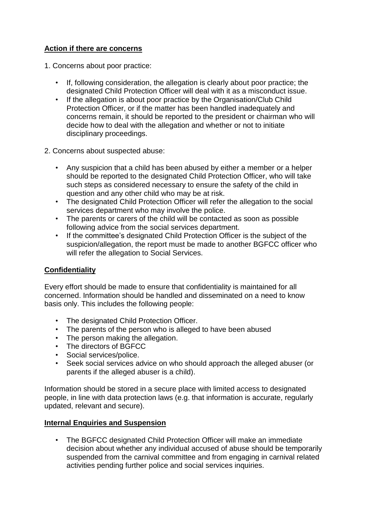### **Action if there are concerns**

1. Concerns about poor practice:

- If, following consideration, the allegation is clearly about poor practice; the designated Child Protection Officer will deal with it as a misconduct issue.
- If the allegation is about poor practice by the Organisation/Club Child Protection Officer, or if the matter has been handled inadequately and concerns remain, it should be reported to the president or chairman who will decide how to deal with the allegation and whether or not to initiate disciplinary proceedings.
- 2. Concerns about suspected abuse:
	- Any suspicion that a child has been abused by either a member or a helper should be reported to the designated Child Protection Officer, who will take such steps as considered necessary to ensure the safety of the child in question and any other child who may be at risk.
	- The designated Child Protection Officer will refer the allegation to the social services department who may involve the police.
	- The parents or carers of the child will be contacted as soon as possible following advice from the social services department.
	- If the committee's designated Child Protection Officer is the subject of the suspicion/allegation, the report must be made to another BGFCC officer who will refer the allegation to Social Services.

### **Confidentiality**

Every effort should be made to ensure that confidentiality is maintained for all concerned. Information should be handled and disseminated on a need to know basis only. This includes the following people:

- The designated Child Protection Officer.
- The parents of the person who is alleged to have been abused
- The person making the allegation.
- The directors of BGFCC
- Social services/police.
- Seek social services advice on who should approach the alleged abuser (or parents if the alleged abuser is a child).

Information should be stored in a secure place with limited access to designated people, in line with data protection laws (e.g. that information is accurate, regularly updated, relevant and secure).

### **Internal Enquiries and Suspension**

• The BGFCC designated Child Protection Officer will make an immediate decision about whether any individual accused of abuse should be temporarily suspended from the carnival committee and from engaging in carnival related activities pending further police and social services inquiries.